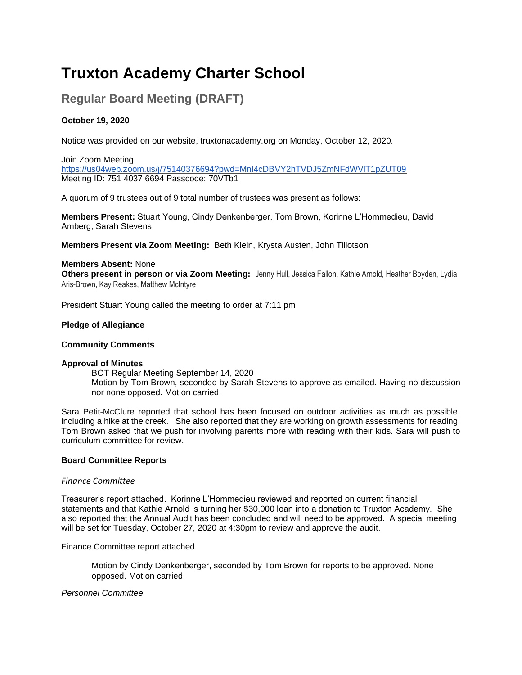# **Truxton Academy Charter School**

# **Regular Board Meeting (DRAFT)**

# **October 19, 2020**

Notice was provided on our website, truxtonacademy.org on Monday, October 12, 2020.

Join Zoom Meeting <https://us04web.zoom.us/j/75140376694?pwd=MnI4cDBVY2hTVDJ5ZmNFdWVlT1pZUT09> Meeting ID: 751 4037 6694 Passcode: 70VTb1

A quorum of 9 trustees out of 9 total number of trustees was present as follows:

**Members Present:** Stuart Young, Cindy Denkenberger, Tom Brown, Korinne L'Hommedieu, David Amberg, Sarah Stevens

**Members Present via Zoom Meeting:** Beth Klein, Krysta Austen, John Tillotson

# **Members Absent:** None

**Others present in person or via Zoom Meeting:** Jenny Hull, Jessica Fallon, Kathie Arnold, Heather Boyden, Lydia Aris-Brown, Kay Reakes, Matthew McIntyre

President Stuart Young called the meeting to order at 7:11 pm

# **Pledge of Allegiance**

### **Community Comments**

### **Approval of Minutes**

BOT Regular Meeting September 14, 2020 Motion by Tom Brown, seconded by Sarah Stevens to approve as emailed. Having no discussion nor none opposed. Motion carried.

Sara Petit-McClure reported that school has been focused on outdoor activities as much as possible, including a hike at the creek. She also reported that they are working on growth assessments for reading. Tom Brown asked that we push for involving parents more with reading with their kids. Sara will push to curriculum committee for review.

### **Board Committee Reports**

### *Finance Committee*

Treasurer's report attached. Korinne L'Hommedieu reviewed and reported on current financial statements and that Kathie Arnold is turning her \$30,000 loan into a donation to Truxton Academy. She also reported that the Annual Audit has been concluded and will need to be approved. A special meeting will be set for Tuesday, October 27, 2020 at 4:30pm to review and approve the audit.

Finance Committee report attached.

Motion by Cindy Denkenberger, seconded by Tom Brown for reports to be approved. None opposed. Motion carried.

### *Personnel Committee*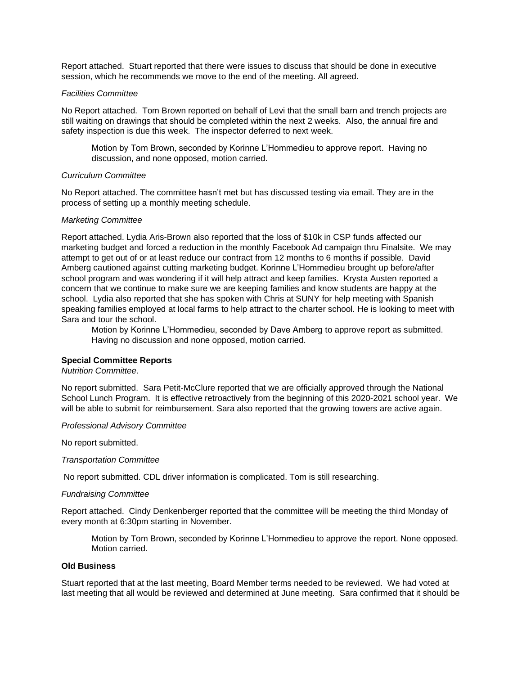Report attached. Stuart reported that there were issues to discuss that should be done in executive session, which he recommends we move to the end of the meeting. All agreed.

# *Facilities Committee*

No Report attached. Tom Brown reported on behalf of Levi that the small barn and trench projects are still waiting on drawings that should be completed within the next 2 weeks. Also, the annual fire and safety inspection is due this week. The inspector deferred to next week.

Motion by Tom Brown, seconded by Korinne L'Hommedieu to approve report. Having no discussion, and none opposed, motion carried.

# *Curriculum Committee*

No Report attached. The committee hasn't met but has discussed testing via email. They are in the process of setting up a monthly meeting schedule.

# *Marketing Committee*

Report attached. Lydia Aris-Brown also reported that the loss of \$10k in CSP funds affected our marketing budget and forced a reduction in the monthly Facebook Ad campaign thru Finalsite. We may attempt to get out of or at least reduce our contract from 12 months to 6 months if possible. David Amberg cautioned against cutting marketing budget. Korinne L'Hommedieu brought up before/after school program and was wondering if it will help attract and keep families. Krysta Austen reported a concern that we continue to make sure we are keeping families and know students are happy at the school. Lydia also reported that she has spoken with Chris at SUNY for help meeting with Spanish speaking families employed at local farms to help attract to the charter school. He is looking to meet with Sara and tour the school.

Motion by Korinne L'Hommedieu, seconded by Dave Amberg to approve report as submitted. Having no discussion and none opposed, motion carried.

# **Special Committee Reports**

# *Nutrition Committee.*

No report submitted. Sara Petit-McClure reported that we are officially approved through the National School Lunch Program. It is effective retroactively from the beginning of this 2020-2021 school year. We will be able to submit for reimbursement. Sara also reported that the growing towers are active again.

# *Professional Advisory Committee*

No report submitted.

# *Transportation Committee*

No report submitted. CDL driver information is complicated. Tom is still researching.

## *Fundraising Committee*

Report attached. Cindy Denkenberger reported that the committee will be meeting the third Monday of every month at 6:30pm starting in November.

Motion by Tom Brown, seconded by Korinne L'Hommedieu to approve the report. None opposed. Motion carried.

## **Old Business**

Stuart reported that at the last meeting, Board Member terms needed to be reviewed. We had voted at last meeting that all would be reviewed and determined at June meeting. Sara confirmed that it should be